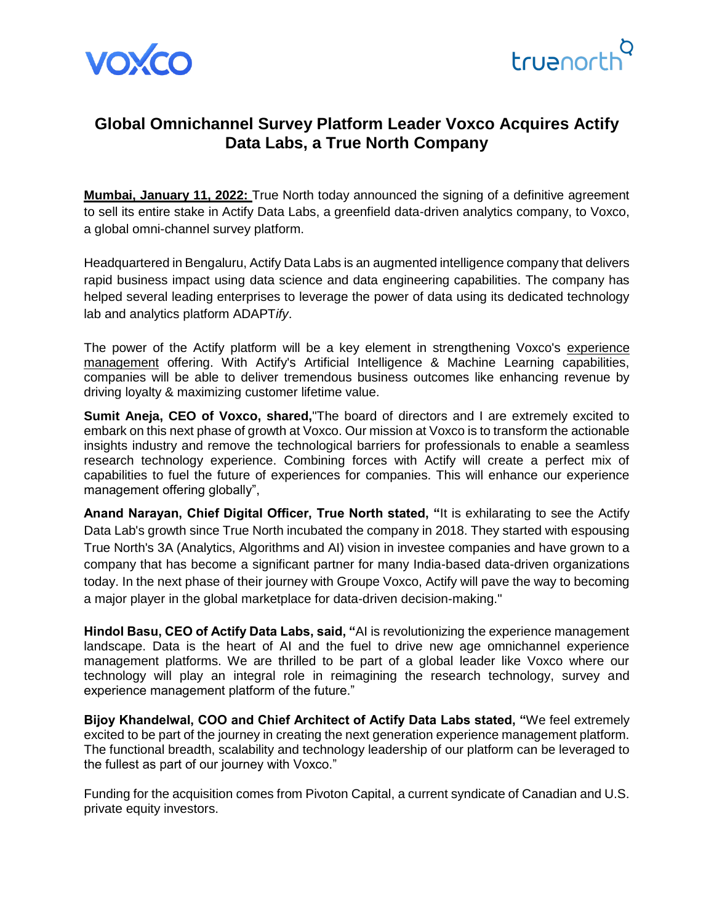



# **Global Omnichannel Survey Platform Leader Voxco Acquires Actify Data Labs, a True North Company**

**Mumbai, January 11, 2022:** True North today announced the signing of a definitive agreement to sell its entire stake in Actify Data Labs, a greenfield data-driven analytics company, to Voxco, a global omni-channel survey platform.

Headquartered in Bengaluru, Actify Data Labs is an augmented intelligence company that delivers rapid business impact using data science and data engineering capabilities. The company has helped several leading enterprises to leverage the power of data using its dedicated technology lab and analytics platform ADAPT*ify*.

The power of the Actify platform will be a key element in strengthening Voxco's [experience](https://www.voxco.com/)  [management](https://www.voxco.com/) offering. With Actify's Artificial Intelligence & Machine Learning capabilities, companies will be able to deliver tremendous business outcomes like enhancing revenue by driving loyalty & maximizing customer lifetime value.

**Sumit Aneja, CEO of Voxco, shared,**"The board of directors and I are extremely excited to embark on this next phase of growth at Voxco. Our mission at Voxco is to transform the actionable insights industry and remove the technological barriers for professionals to enable a seamless research technology experience. Combining forces with Actify will create a perfect mix of capabilities to fuel the future of experiences for companies. This will enhance our experience management offering globally",

**Anand Narayan, Chief Digital Officer, True North stated, "**It is exhilarating to see the Actify Data Lab's growth since True North incubated the company in 2018. They started with espousing True North's 3A (Analytics, Algorithms and AI) vision in investee companies and have grown to a company that has become a significant partner for many India-based data-driven organizations today. In the next phase of their journey with Groupe Voxco, Actify will pave the way to becoming a major player in the global marketplace for data-driven decision-making."

**Hindol Basu, CEO of Actify Data Labs, said, "**AI is revolutionizing the experience management landscape. Data is the heart of AI and the fuel to drive new age omnichannel experience management platforms. We are thrilled to be part of a global leader like Voxco where our technology will play an integral role in reimagining the research technology, survey and experience management platform of the future."

**Bijoy Khandelwal, COO and Chief Architect of Actify Data Labs stated, "**We feel extremely excited to be part of the journey in creating the next generation experience management platform. The functional breadth, scalability and technology leadership of our platform can be leveraged to the fullest as part of our journey with Voxco."

Funding for the acquisition comes from Pivoton Capital, a current syndicate of Canadian and U.S. private equity investors.